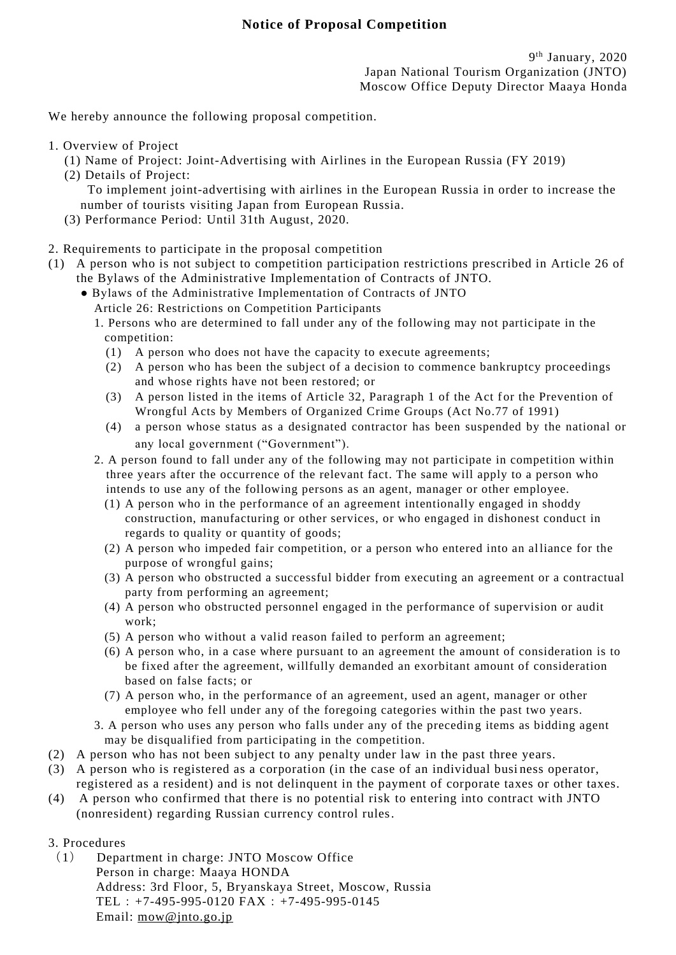We hereby announce the following proposal competition.

- 1. Overview of Project
	- (1) Name of Project: Joint-Advertising with Airlines in the European Russia (FY 2019)
	- (2) Details of Project: To implement joint-advertising with airlines in the European Russia in order to increase the number of tourists visiting Japan from European Russia.
	- (3) Performance Period: Until 31th August, 2020.
- 2. Requirements to participate in the proposal competition
- (1) A person who is not subject to competition participation restrictions prescribed in Article 26 of the Bylaws of the Administrative Implementation of Contracts of JNTO.
	- Bylaws of the Administrative Implementation of Contracts of JNTO
		- Article 26: Restrictions on Competition Participants
		- 1. Persons who are determined to fall under any of the following may not participate in the competition:
			- (1) A person who does not have the capacity to execute agreements;
			- (2) A person who has been the subject of a decision to commence bankruptcy proceedings and whose rights have not been restored; or
			- (3) A person listed in the items of Article 32, Paragraph 1 of the Act for the Prevention of Wrongful Acts by Members of Organized Crime Groups (Act No.77 of 1991)
			- (4) a person whose status as a designated contractor has been suspended by the national or any local government ("Government").
		- 2. A person found to fall under any of the following may not participate in competition within three years after the occurrence of the relevant fact. The same will apply to a person who intends to use any of the following persons as an agent, manager or other employee.
			- (1) A person who in the performance of an agreement intentionally engaged in shoddy construction, manufacturing or other services, or who engaged in dishonest conduct in regards to quality or quantity of goods;
			- (2) A person who impeded fair competition, or a person who entered into an al liance for the purpose of wrongful gains;
			- (3) A person who obstructed a successful bidder from executing an agreement or a contractual party from performing an agreement;
			- (4) A person who obstructed personnel engaged in the performance of supervision or audit work;
			- (5) A person who without a valid reason failed to perform an agreement;
			- (6) A person who, in a case where pursuant to an agreement the amount of consideration is to be fixed after the agreement, willfully demanded an exorbitant amount of consideration based on false facts; or
			- (7) A person who, in the performance of an agreement, used an agent, manager or other employee who fell under any of the foregoing categories within the past two years.
		- 3. A person who uses any person who falls under any of the preceding items as bidding agent may be disqualified from participating in the competition.
- (2) A person who has not been subject to any penalty under law in the past three years.
- (3) A person who is registered as a corporation (in the case of an individual busi ness operator, registered as a resident) and is not delinquent in the payment of corporate taxes or other taxes.
- (4) A person who confirmed that there is no potential risk to entering into contract with JNTO (nonresident) regarding Russian currency control rules.
- 3. Procedures
	- (1) Department in charge: JNTO Moscow Office Person in charge: Maaya HONDA Address: 3rd Floor, 5, Bryanskaya Street, Moscow, Russia TEL:  $+7-495-995-0120$  FAX:  $+7-495-995-0145$ Email: [mow@jnto.go.jp](mailto:mow@jnto.go.jp)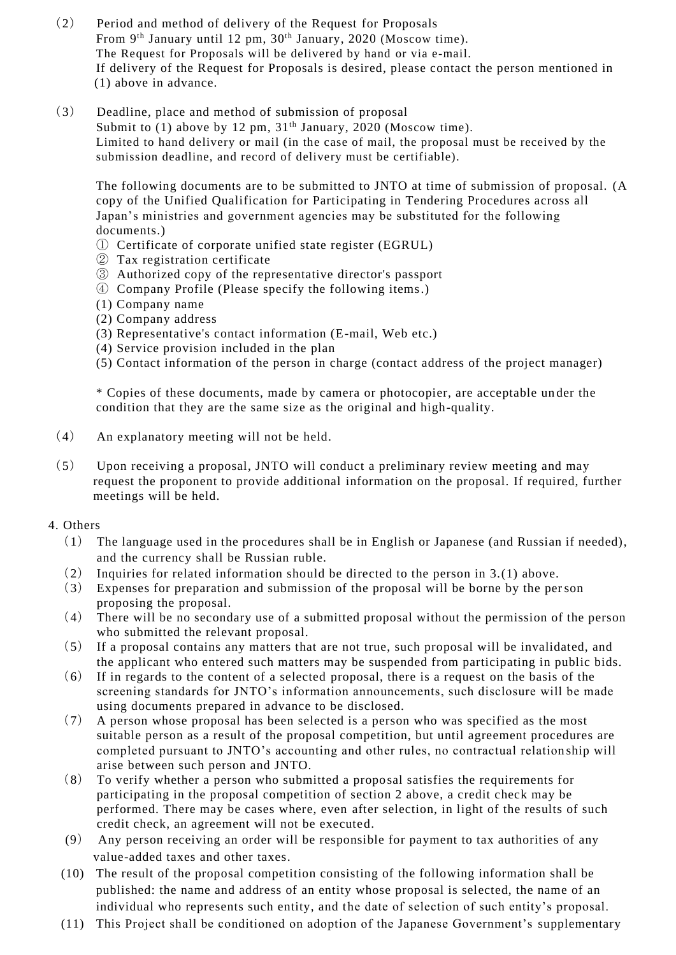- (2) Period and method of delivery of the Request for Proposals From 9<sup>th</sup> January until 12 pm, 30<sup>th</sup> January, 2020 (Moscow time). The Request for Proposals will be delivered by hand or via e-mail. If delivery of the Request for Proposals is desired, please contact the person mentioned in (1) above in advance.
- (3) Deadline, place and method of submission of proposal Submit to  $(1)$  above by 12 pm,  $31<sup>th</sup>$  January, 2020 (Moscow time). Limited to hand delivery or mail (in the case of mail, the proposal must be received by the submission deadline, and record of delivery must be certifiable).

The following documents are to be submitted to JNTO at time of submission of proposal. (A copy of the Unified Qualification for Participating in Tendering Procedures across all Japan's ministries and government agencies may be substituted for the following documents.)

- ① Certificate of corporate unified state register (EGRUL)
- ② Tax registration certificate
- ③ Authorized copy of the representative director's passport
- ④ Company Profile (Please specify the following items.)
- (1) Company name
- (2) Company address
- (3) Representative's contact information (E-mail, Web etc.)
- (4) Service provision included in the plan
- (5) Contact information of the person in charge (contact address of the project manager)

\* Copies of these documents, made by camera or photocopier, are acceptable un der the condition that they are the same size as the original and high-quality.

- (4) An explanatory meeting will not be held.
- (5) Upon receiving a proposal, JNTO will conduct a preliminary review meeting and may request the proponent to provide additional information on the proposal. If required, further meetings will be held.

## 4. Others

- (1) The language used in the procedures shall be in English or Japanese (and Russian if needed), and the currency shall be Russian ruble.
- (2) Inquiries for related information should be directed to the person in 3.(1) above.
- (3) Expenses for preparation and submission of the proposal will be borne by the person proposing the proposal.
- (4) There will be no secondary use of a submitted proposal without the permission of the person who submitted the relevant proposal.
- (5) If a proposal contains any matters that are not true, such proposal will be invalidated, and the applicant who entered such matters may be suspended from participating in public bids.
- (6) If in regards to the content of a selected proposal, there is a request on the basis of the screening standards for JNTO's information announcements, such disclosure will be made using documents prepared in advance to be disclosed.
- (7) A person whose proposal has been selected is a person who was specified as the most suitable person as a result of the proposal competition, but until agreement procedures are completed pursuant to JNTO's accounting and other rules, no contractual relation ship will arise between such person and JNTO.
- (8) To verify whether a person who submitted a proposal satisfies the requirements for participating in the proposal competition of section 2 above, a credit check may be performed. There may be cases where, even after selection, in light of the results of such credit check, an agreement will not be executed.
- (9) Any person receiving an order will be responsible for payment to tax authorities of any value-added taxes and other taxes.
- (10) The result of the proposal competition consisting of the following information shall be published: the name and address of an entity whose proposal is selected, the name of an individual who represents such entity, and the date of selection of such entity's proposal.
- (11) This Project shall be conditioned on adoption of the Japanese Government's supplementary